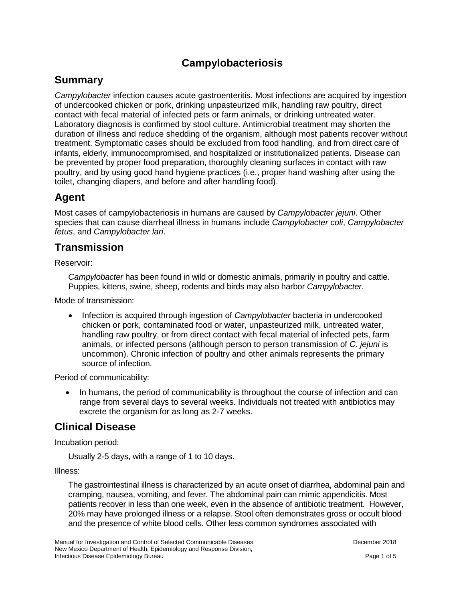# **Campylobacteriosis**

### **Summary**

*Campylobacter* infection causes acute gastroenteritis. Most infections are acquired by ingestion of undercooked chicken or pork, drinking unpasteurized milk, handling raw poultry, direct contact with fecal material of infected pets or farm animals, or drinking untreated water. Laboratory diagnosis is confirmed by stool culture. Antimicrobial treatment may shorten the duration of illness and reduce shedding of the organism, although most patients recover without treatment. Symptomatic cases should be excluded from food handling, and from direct care of infants, elderly, immunocompromised, and hospitalized or institutionalized patients. Disease can be prevented by proper food preparation, thoroughly cleaning surfaces in contact with raw poultry, and by using good hand hygiene practices (i.e., proper hand washing after using the toilet, changing diapers, and before and after handling food).

#### **Agent**

Most cases of campylobacteriosis in humans are caused by *Campylobacter jejuni*. Other species that can cause diarrheal illness in humans include *Campylobacter coli*, *Campylobacter fetus*, and *Campylobacter lari*.

#### **Transmission**

Reservoir:

*Campylobacter* has been found in wild or domestic animals, primarily in poultry and cattle. Puppies, kittens, swine, sheep, rodents and birds may also harbor *Campylobacter*.

Mode of transmission:

• Infection is acquired through ingestion of *Campylobacter* bacteria in undercooked chicken or pork, contaminated food or water, unpasteurized milk, untreated water, handling raw poultry, or from direct contact with fecal material of infected pets, farm animals, or infected persons (although person to person transmission of *C. jejuni* is uncommon). Chronic infection of poultry and other animals represents the primary source of infection.

Period of communicability:

In humans, the period of communicability is throughout the course of infection and can range from several days to several weeks. Individuals not treated with antibiotics may excrete the organism for as long as 2-7 weeks.

## **Clinical Disease**

Incubation period:

Usually 2-5 days, with a range of 1 to 10 days.

Illness:

The gastrointestinal illness is characterized by an acute onset of diarrhea, abdominal pain and cramping, nausea, vomiting, and fever. The abdominal pain can mimic appendicitis. Most patients recover in less than one week, even in the absence of antibiotic treatment. However, 20% may have prolonged illness or a relapse. Stool often demonstrates gross or occult blood and the presence of white blood cells. Other less common syndromes associated with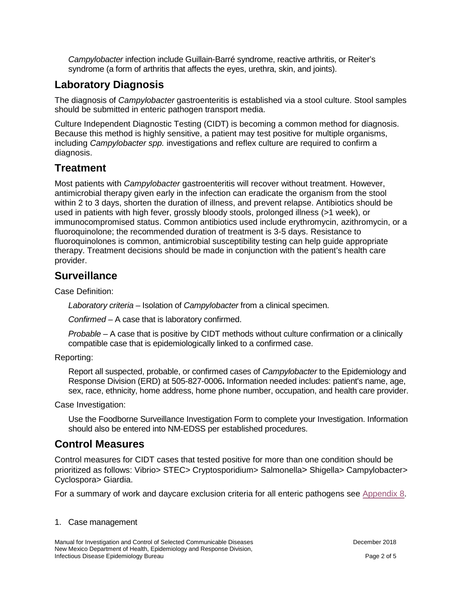*Campylobacter* infection include Guillain-Barré syndrome, reactive arthritis, or Reiter's syndrome (a form of arthritis that affects the eyes, urethra, skin, and joints).

# **Laboratory Diagnosis**

The diagnosis of *Campylobacter* gastroenteritis is established via a stool culture. Stool samples should be submitted in enteric pathogen transport media.

Culture Independent Diagnostic Testing (CIDT) is becoming a common method for diagnosis. Because this method is highly sensitive, a patient may test positive for multiple organisms, including *Campylobacter spp.* investigations and reflex culture are required to confirm a diagnosis.

# **Treatment**

Most patients with *Campylobacter* gastroenteritis will recover without treatment. However, antimicrobial therapy given early in the infection can eradicate the organism from the stool within 2 to 3 days, shorten the duration of illness, and prevent relapse. Antibiotics should be used in patients with high fever, grossly bloody stools, prolonged illness (>1 week), or immunocompromised status. Common antibiotics used include erythromycin, azithromycin, or a fluoroquinolone; the recommended duration of treatment is 3-5 days. Resistance to fluoroquinolones is common, antimicrobial susceptibility testing can help guide appropriate therapy. Treatment decisions should be made in conjunction with the patient's health care provider.

## **Surveillance**

Case Definition:

*Laboratory criteria* – Isolation of *Campylobacter* from a clinical specimen.

*Confirmed* – A case that is laboratory confirmed.

*Probable* – A case that is positive by CIDT methods without culture confirmation or a clinically compatible case that is epidemiologically linked to a confirmed case.

Reporting:

Report all suspected, probable, or confirmed cases of *Campylobacter* to the Epidemiology and Response Division (ERD) at 505-827-0006**.** Information needed includes: patient's name, age, sex, race, ethnicity, home address, home phone number, occupation, and health care provider.

Case Investigation:

Use the Foodborne Surveillance Investigation Form to complete your Investigation. Information should also be entered into NM-EDSS per established procedures.

# **Control Measures**

Control measures for CIDT cases that tested positive for more than one condition should be prioritized as follows: Vibrio> STEC> Cryptosporidium> Salmonella> Shigella> Campylobacter> Cyclospora> Giardia.

For a summary of work and daycare exclusion criteria for all enteric pathogens see [Appendix 8.](https://nmhealth.org/publication/view/general/5156/)

#### 1. Case management

Manual for Investigation and Control of Selected Communicable Diseases **December 2018** December 2018 New Mexico Department of Health, Epidemiology and Response Division, Infectious Disease Epidemiology Bureau Page 2 of 5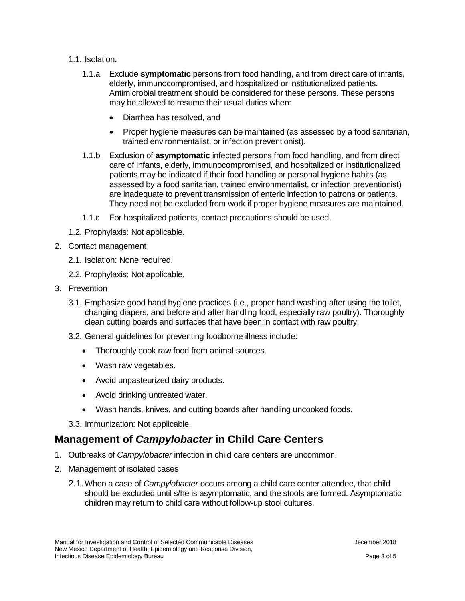- 1.1. Isolation:
	- 1.1.a Exclude **symptomatic** persons from food handling, and from direct care of infants, elderly, immunocompromised, and hospitalized or institutionalized patients. Antimicrobial treatment should be considered for these persons. These persons may be allowed to resume their usual duties when:
		- Diarrhea has resolved, and
		- Proper hygiene measures can be maintained (as assessed by a food sanitarian, trained environmentalist, or infection preventionist).
	- 1.1.b Exclusion of **asymptomatic** infected persons from food handling, and from direct care of infants, elderly, immunocompromised, and hospitalized or institutionalized patients may be indicated if their food handling or personal hygiene habits (as assessed by a food sanitarian, trained environmentalist, or infection preventionist) are inadequate to prevent transmission of enteric infection to patrons or patients. They need not be excluded from work if proper hygiene measures are maintained.
	- 1.1.c For hospitalized patients, contact precautions should be used.
- 1.2. Prophylaxis: Not applicable.
- 2. Contact management
	- 2.1. Isolation: None required.
	- 2.2. Prophylaxis: Not applicable.
- 3. Prevention
	- 3.1. Emphasize good hand hygiene practices (i.e., proper hand washing after using the toilet, changing diapers, and before and after handling food, especially raw poultry). Thoroughly clean cutting boards and surfaces that have been in contact with raw poultry.
	- 3.2. General guidelines for preventing foodborne illness include:
		- Thoroughly cook raw food from animal sources.
		- Wash raw vegetables.
		- Avoid unpasteurized dairy products.
		- Avoid drinking untreated water.
		- Wash hands, knives, and cutting boards after handling uncooked foods.

3.3. Immunization: Not applicable.

#### **Management of** *Campylobacter* **in Child Care Centers**

- 1. Outbreaks of *Campylobacter* infection in child care centers are uncommon.
- 2. Management of isolated cases
	- 2.1.When a case of *Campylobacter* occurs among a child care center attendee, that child should be excluded until s/he is asymptomatic, and the stools are formed. Asymptomatic children may return to child care without follow-up stool cultures.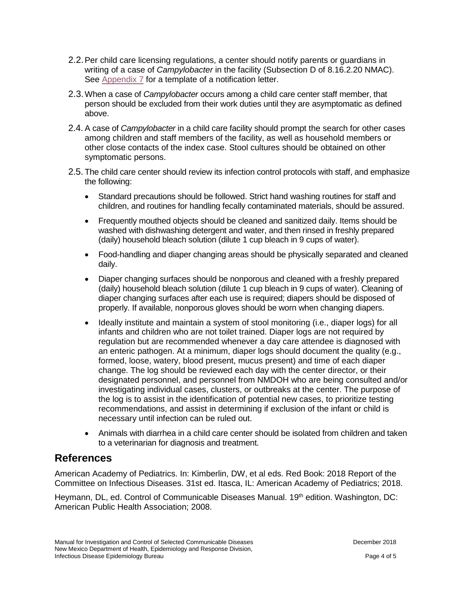- 2.2.Per child care licensing regulations, a center should notify parents or guardians in writing of a case of *Campylobacter* in the facility (Subsection D of 8.16.2.20 NMAC). See [Appendix 7](https://nmhealth.org/publication/view/general/5155/) for a template of a notification letter.
- 2.3.When a case of *Campylobacter* occurs among a child care center staff member, that person should be excluded from their work duties until they are asymptomatic as defined above.
- 2.4. A case of *Campylobacter* in a child care facility should prompt the search for other cases among children and staff members of the facility, as well as household members or other close contacts of the index case. Stool cultures should be obtained on other symptomatic persons.
- 2.5. The child care center should review its infection control protocols with staff, and emphasize the following:
	- Standard precautions should be followed. Strict hand washing routines for staff and children, and routines for handling fecally contaminated materials, should be assured.
	- Frequently mouthed objects should be cleaned and sanitized daily. Items should be washed with dishwashing detergent and water, and then rinsed in freshly prepared (daily) household bleach solution (dilute 1 cup bleach in 9 cups of water).
	- Food-handling and diaper changing areas should be physically separated and cleaned daily.
	- Diaper changing surfaces should be nonporous and cleaned with a freshly prepared (daily) household bleach solution (dilute 1 cup bleach in 9 cups of water). Cleaning of diaper changing surfaces after each use is required; diapers should be disposed of properly. If available, nonporous gloves should be worn when changing diapers.
	- Ideally institute and maintain a system of stool monitoring (i.e., diaper logs) for all infants and children who are not toilet trained. Diaper logs are not required by regulation but are recommended whenever a day care attendee is diagnosed with an enteric pathogen. At a minimum, diaper logs should document the quality (e.g., formed, loose, watery, blood present, mucus present) and time of each diaper change. The log should be reviewed each day with the center director, or their designated personnel, and personnel from NMDOH who are being consulted and/or investigating individual cases, clusters, or outbreaks at the center. The purpose of the log is to assist in the identification of potential new cases, to prioritize testing recommendations, and assist in determining if exclusion of the infant or child is necessary until infection can be ruled out.
	- Animals with diarrhea in a child care center should be isolated from children and taken to a veterinarian for diagnosis and treatment.

## **References**

American Academy of Pediatrics. In: Kimberlin, DW, et al eds. Red Book: 2018 Report of the Committee on Infectious Diseases. 31st ed. Itasca, IL: American Academy of Pediatrics; 2018.

Heymann, DL, ed. Control of Communicable Diseases Manual. 19th edition. Washington, DC: American Public Health Association; 2008.